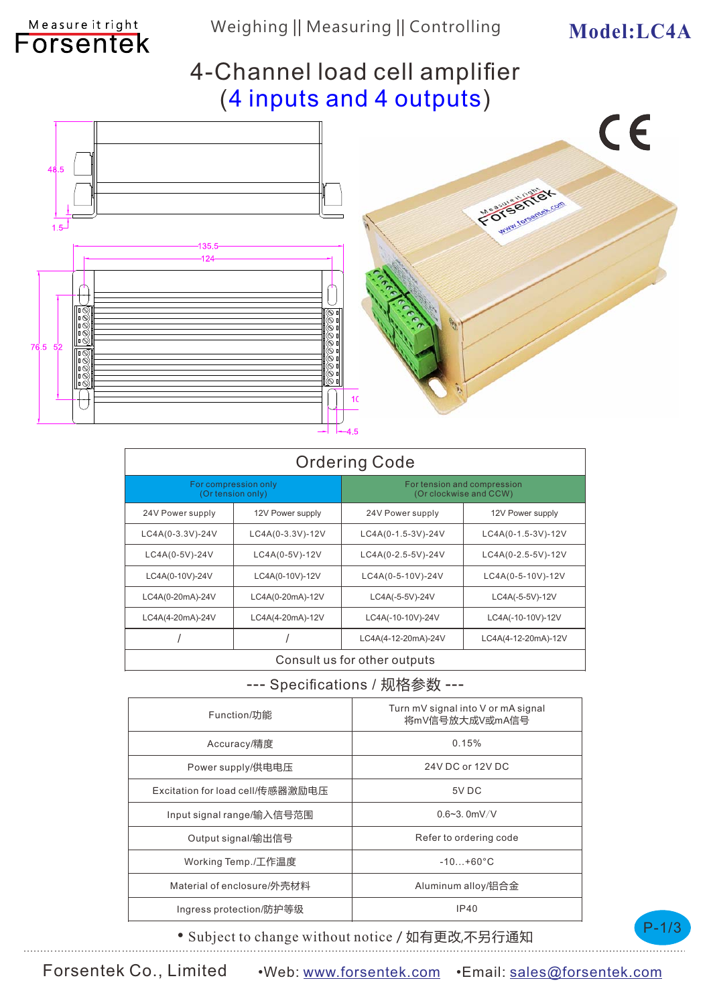$\epsilon$ 

## 4-Channel load cell amplifier (4 inputs and 4 outputs)



Measure it right

| <b>Ordering Code</b>                      |                  |                                                       |                     |
|-------------------------------------------|------------------|-------------------------------------------------------|---------------------|
| For compression only<br>(Or tension only) |                  | For tension and compression<br>(Or clockwise and CCW) |                     |
| 24V Power supply                          | 12V Power supply | 24V Power supply                                      | 12V Power supply    |
| LC4A(0-3.3V)-24V                          | LC4A(0-3.3V)-12V | LC4A(0-1.5-3V)-24V                                    | LC4A(0-1.5-3V)-12V  |
| LC4A(0-5V)-24V                            | LC4A(0-5V)-12V   | LC4A(0-2.5-5V)-24V                                    | LC4A(0-2.5-5V)-12V  |
| LC4A(0-10V)-24V                           | LC4A(0-10V)-12V  | LC4A(0-5-10V)-24V                                     | LC4A(0-5-10V)-12V   |
| LC4A(0-20mA)-24V                          | LC4A(0-20mA)-12V | LC4A(-5-5V)-24V                                       | LC4A(-5-5V)-12V     |
| LC4A(4-20mA)-24V                          | LC4A(4-20mA)-12V | LC4A(-10-10V)-24V                                     | LC4A(-10-10V)-12V   |
|                                           |                  | LC4A(4-12-20mA)-24V                                   | LC4A(4-12-20mA)-12V |
| Consult us for other outputs              |                  |                                                       |                     |

#### --- Specifications / 规格参数 ---

| Turn mV signal into V or mA signal<br>将mV信号放大成V或mA信号 |  |
|------------------------------------------------------|--|
| 0.15%                                                |  |
| 24V DC or 12V DC                                     |  |
| 5V DC                                                |  |
| $0.6 - 3.0$ mV/V                                     |  |
| Refer to ordering code                               |  |
| $-10 + 60^{\circ}$ C                                 |  |
| Aluminum alloy/铝合金                                   |  |
| IP40                                                 |  |
|                                                      |  |



• Subject to change without notice / 如有更改,不另行通知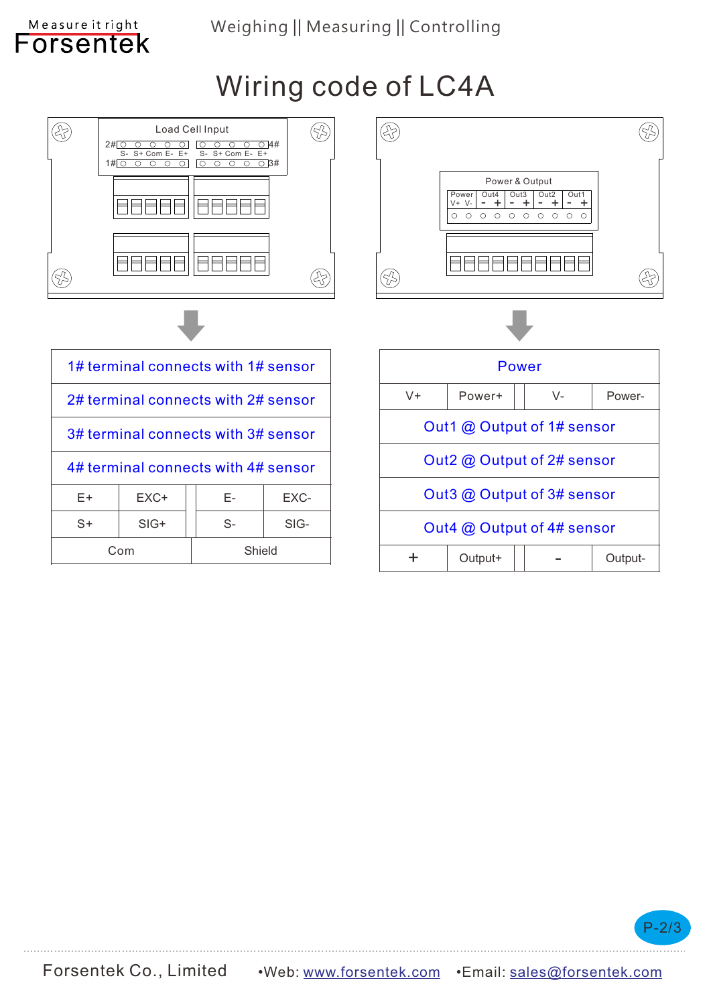### Weighing || Measuring || Controlling

Measure it right Forsentek

Wiring code of LC4A



Com Shield